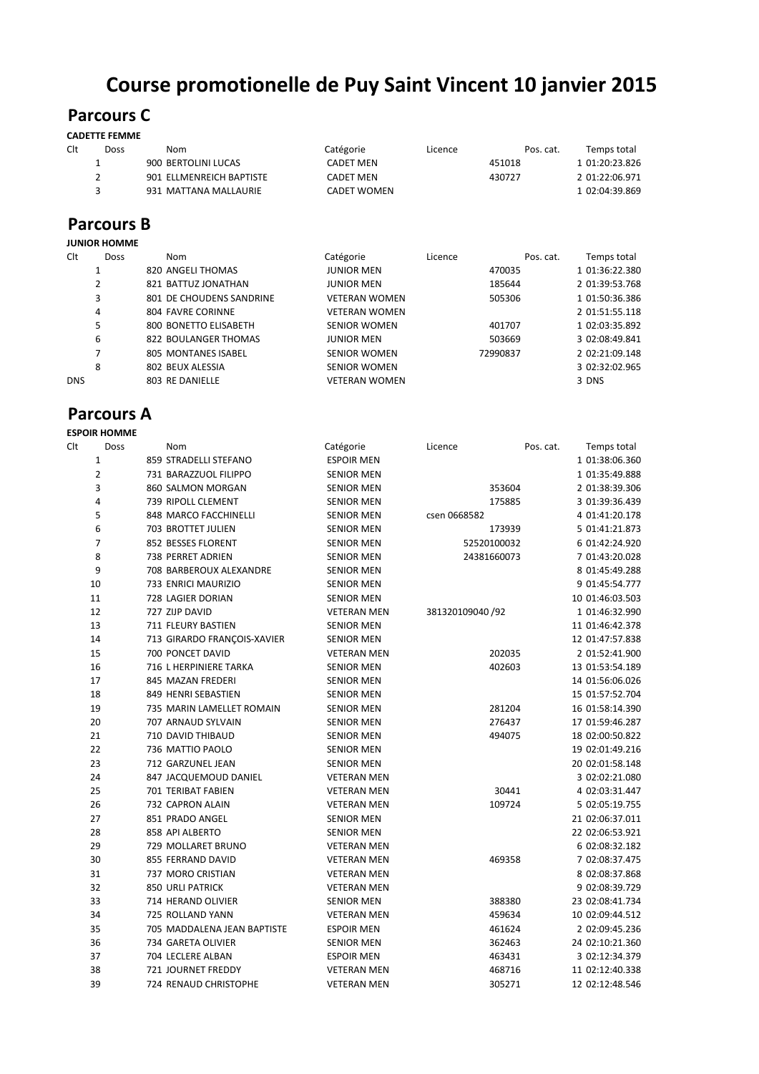# **Course promotionelle de Puy Saint Vincent 10 janvier 2015**

## **Parcours C**

#### **CADETTE FEMME**

| Clt | Doss | Nom                      | Catégorie          | Licence | Pos. cat. | Temps total    |
|-----|------|--------------------------|--------------------|---------|-----------|----------------|
|     |      | 900 BERTOLINI LUCAS      | <b>CADET MEN</b>   |         | 451018    | 1 01:20:23.826 |
|     |      | 901 ELLMENREICH BAPTISTE | <b>CADET MEN</b>   |         | 430727    | 2 01:22:06.971 |
|     |      | 931 MATTANA MALLAURIE    | <b>CADET WOMEN</b> |         |           | 1 02:04:39.869 |
|     |      |                          |                    |         |           |                |

#### **Parcours B JUNIOR HOMME**

|            | JUINIUN NUIVIIVIE |                          |                      |         |           |                |
|------------|-------------------|--------------------------|----------------------|---------|-----------|----------------|
| Clt        | <b>Doss</b>       | Nom                      | Catégorie            | Licence | Pos. cat. | Temps total    |
|            |                   | 820 ANGELI THOMAS        | <b>JUNIOR MEN</b>    |         | 470035    | 1 01:36:22.380 |
|            | 2                 | 821 BATTUZ JONATHAN      | <b>JUNIOR MEN</b>    |         | 185644    | 2 01:39:53.768 |
|            | 3                 | 801 DE CHOUDENS SANDRINE | <b>VETERAN WOMEN</b> |         | 505306    | 1 01:50:36.386 |
|            | 4                 | 804 FAVRE CORINNE        | <b>VETERAN WOMEN</b> |         |           | 2 01:51:55.118 |
|            | 5                 | 800 BONETTO ELISABETH    | <b>SENIOR WOMEN</b>  |         | 401707    | 1 02:03:35.892 |
|            | 6                 | 822 BOULANGER THOMAS     | <b>JUNIOR MEN</b>    |         | 503669    | 3 02:08:49.841 |
|            |                   | 805 MONTANES ISABEL      | <b>SENIOR WOMEN</b>  |         | 72990837  | 2 02:21:09.148 |
|            | 8                 | 802 BEUX ALESSIA         | <b>SENIOR WOMEN</b>  |         |           | 3 02:32:02.965 |
| <b>DNS</b> |                   | 803 RE DANIELLE          | <b>VETERAN WOMEN</b> |         |           | 3 DNS          |
|            |                   |                          |                      |         |           |                |

### **Parcours A**

|     | <b>ESPOIR HOMME</b> |                             |                    |                  |           |                 |
|-----|---------------------|-----------------------------|--------------------|------------------|-----------|-----------------|
| Clt | Doss                | Nom                         | Catégorie          | Licence          | Pos. cat. | Temps total     |
|     | $\mathbf{1}$        | 859 STRADELLI STEFANO       | <b>ESPOIR MEN</b>  |                  |           | 1 01:38:06.360  |
|     | $\overline{2}$      | 731 BARAZZUOL FILIPPO       | <b>SENIOR MEN</b>  |                  |           | 1 01:35:49.888  |
|     | 3                   | 860 SALMON MORGAN           | <b>SENIOR MEN</b>  | 353604           |           | 2 01:38:39.306  |
|     | $\overline{4}$      | 739 RIPOLL CLEMENT          | <b>SENIOR MEN</b>  | 175885           |           | 3 01:39:36.439  |
|     | 5                   | 848 MARCO FACCHINELLI       | <b>SENIOR MEN</b>  | csen 0668582     |           | 4 01:41:20.178  |
|     | 6                   | 703 BROTTET JULIEN          | <b>SENIOR MEN</b>  | 173939           |           | 5 01:41:21.873  |
|     | $\overline{7}$      | 852 BESSES FLORENT          | <b>SENIOR MEN</b>  | 52520100032      |           | 6 01:42:24.920  |
|     | 8                   | 738 PERRET ADRIEN           | <b>SENIOR MEN</b>  | 24381660073      |           | 7 01:43:20.028  |
|     | 9                   | 708 BARBEROUX ALEXANDRE     | <b>SENIOR MEN</b>  |                  |           | 8 01:45:49.288  |
|     | 10                  | 733 ENRICI MAURIZIO         | <b>SENIOR MEN</b>  |                  |           | 9 01:45:54.777  |
|     | 11                  | 728 LAGIER DORIAN           | <b>SENIOR MEN</b>  |                  |           | 10 01:46:03.503 |
|     | 12                  | 727 ZIJP DAVID              | <b>VETERAN MEN</b> | 381320109040 /92 |           | 1 01:46:32.990  |
|     | 13                  | 711 FLEURY BASTIEN          | <b>SENIOR MEN</b>  |                  |           | 11 01:46:42.378 |
|     | 14                  | 713 GIRARDO FRANÇOIS-XAVIER | <b>SENIOR MEN</b>  |                  |           | 12 01:47:57.838 |
|     | 15                  | 700 PONCET DAVID            | <b>VETERAN MEN</b> | 202035           |           | 2 01:52:41.900  |
|     | 16                  | 716 L HERPINIERE TARKA      | <b>SENIOR MEN</b>  | 402603           |           | 13 01:53:54.189 |
|     | 17                  | 845 MAZAN FREDERI           | <b>SENIOR MEN</b>  |                  |           | 14 01:56:06.026 |
|     | 18                  | 849 HENRI SEBASTIEN         | <b>SENIOR MEN</b>  |                  |           | 15 01:57:52.704 |
|     | 19                  | 735 MARIN LAMELLET ROMAIN   | <b>SENIOR MEN</b>  | 281204           |           | 16 01:58:14.390 |
|     | 20                  | 707 ARNAUD SYLVAIN          | <b>SENIOR MEN</b>  | 276437           |           | 17 01:59:46.287 |
|     | 21                  | 710 DAVID THIBAUD           | <b>SENIOR MEN</b>  | 494075           |           | 18 02:00:50.822 |
|     | 22                  | 736 MATTIO PAOLO            | <b>SENIOR MEN</b>  |                  |           | 19 02:01:49.216 |
|     | 23                  | 712 GARZUNEL JEAN           | <b>SENIOR MEN</b>  |                  |           | 20 02:01:58.148 |
|     | 24                  | 847 JACQUEMOUD DANIEL       | <b>VETERAN MEN</b> |                  |           | 3 02:02:21.080  |
|     | 25                  | <b>701 TERIBAT FABIEN</b>   | <b>VETERAN MEN</b> | 30441            |           | 4 02:03:31.447  |
|     | 26                  | 732 CAPRON ALAIN            | <b>VETERAN MEN</b> | 109724           |           | 5 02:05:19.755  |
|     | 27                  | 851 PRADO ANGEL             | <b>SENIOR MEN</b>  |                  |           | 21 02:06:37.011 |
|     | 28                  | 858 API ALBERTO             | <b>SENIOR MEN</b>  |                  |           | 22 02:06:53.921 |
|     | 29                  | 729 MOLLARET BRUNO          | <b>VETERAN MEN</b> |                  |           | 6 02:08:32.182  |
|     | 30                  | 855 FERRAND DAVID           | <b>VETERAN MEN</b> | 469358           |           | 7 02:08:37.475  |
|     | 31                  | 737 MORO CRISTIAN           | <b>VETERAN MEN</b> |                  |           | 8 02:08:37.868  |
|     | 32                  | <b>850 URLI PATRICK</b>     | <b>VETERAN MEN</b> |                  |           | 9 02:08:39.729  |
|     | 33                  | 714 HERAND OLIVIER          | <b>SENIOR MEN</b>  | 388380           |           | 23 02:08:41.734 |
|     | 34                  | 725 ROLLAND YANN            | <b>VETERAN MEN</b> | 459634           |           | 10 02:09:44.512 |
|     | 35                  | 705 MADDALENA JEAN BAPTISTE | <b>ESPOIR MEN</b>  | 461624           |           | 2 02:09:45.236  |
|     | 36                  | 734 GARETA OLIVIER          | <b>SENIOR MEN</b>  | 362463           |           | 24 02:10:21.360 |
|     | 37                  | 704 LECLERE ALBAN           | <b>ESPOIR MEN</b>  | 463431           |           | 3 02:12:34.379  |
|     | 38                  | 721 JOURNET FREDDY          | <b>VETERAN MEN</b> | 468716           |           | 11 02:12:40.338 |
|     | 39                  | 724 RENAUD CHRISTOPHE       | <b>VETERAN MEN</b> | 305271           |           | 12 02:12:48.546 |